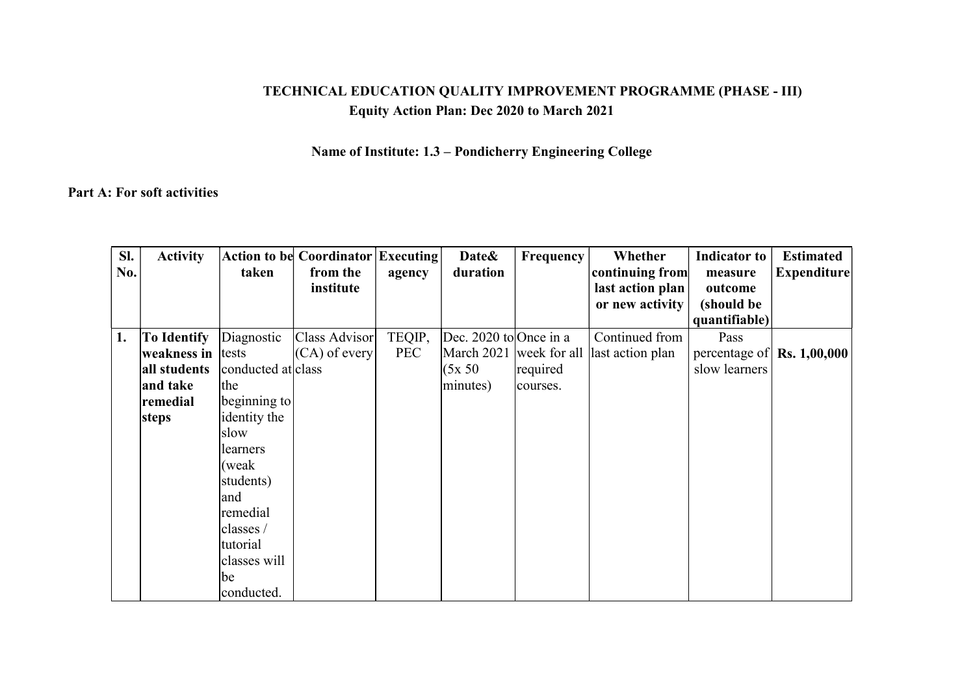## TECHNICAL EDUCATION QUALITY IMPROVEMENT PROGRAMME (PHASE - III) Equity Action Plan: Dec 2020 to March 2021

## Name of Institute: 1.3 – Pondicherry Engineering College

## Part A: For soft activities

| SI. | <b>Activity</b>    |                    | <b>Action to be Coordinator Executing</b> |            | Date&                  | Frequency | Whether                       | <b>Indicator to</b> | <b>Estimated</b>                           |
|-----|--------------------|--------------------|-------------------------------------------|------------|------------------------|-----------|-------------------------------|---------------------|--------------------------------------------|
| No. |                    | taken              | from the                                  | agency     | duration               |           | continuing from               | measure             | Expenditure                                |
|     |                    |                    | institute                                 |            |                        |           | last action plan              | outcome             |                                            |
|     |                    |                    |                                           |            |                        |           | or new activity               | (should be          |                                            |
|     |                    |                    |                                           |            |                        |           |                               | quantifiable)       |                                            |
| 1.  | <b>To Identify</b> | Diagnostic         | Class Advisor                             | TEQIP,     | Dec. 2020 to Once in a |           | Continued from                | Pass                |                                            |
|     | weakness in tests  |                    | $(CA)$ of every                           | <b>PEC</b> | March 2021             |           | week for all last action plan |                     | percentage of $\vert$ Rs. 1,00,000 $\vert$ |
|     | all students       | conducted at class |                                           |            | (5x 50)                | required  |                               | slow learners       |                                            |
|     | and take           | the                |                                           |            | minutes)               | courses.  |                               |                     |                                            |
|     | remedial           | beginning to       |                                           |            |                        |           |                               |                     |                                            |
|     | <b>steps</b>       | identity the       |                                           |            |                        |           |                               |                     |                                            |
|     |                    | slow               |                                           |            |                        |           |                               |                     |                                            |
|     |                    | learners           |                                           |            |                        |           |                               |                     |                                            |
|     |                    | (weak)             |                                           |            |                        |           |                               |                     |                                            |
|     |                    | students)          |                                           |            |                        |           |                               |                     |                                            |
|     |                    | and                |                                           |            |                        |           |                               |                     |                                            |
|     |                    | remedial           |                                           |            |                        |           |                               |                     |                                            |
|     |                    | classes /          |                                           |            |                        |           |                               |                     |                                            |
|     |                    | tutorial           |                                           |            |                        |           |                               |                     |                                            |
|     |                    | classes will       |                                           |            |                        |           |                               |                     |                                            |
|     |                    | be                 |                                           |            |                        |           |                               |                     |                                            |
|     |                    | conducted.         |                                           |            |                        |           |                               |                     |                                            |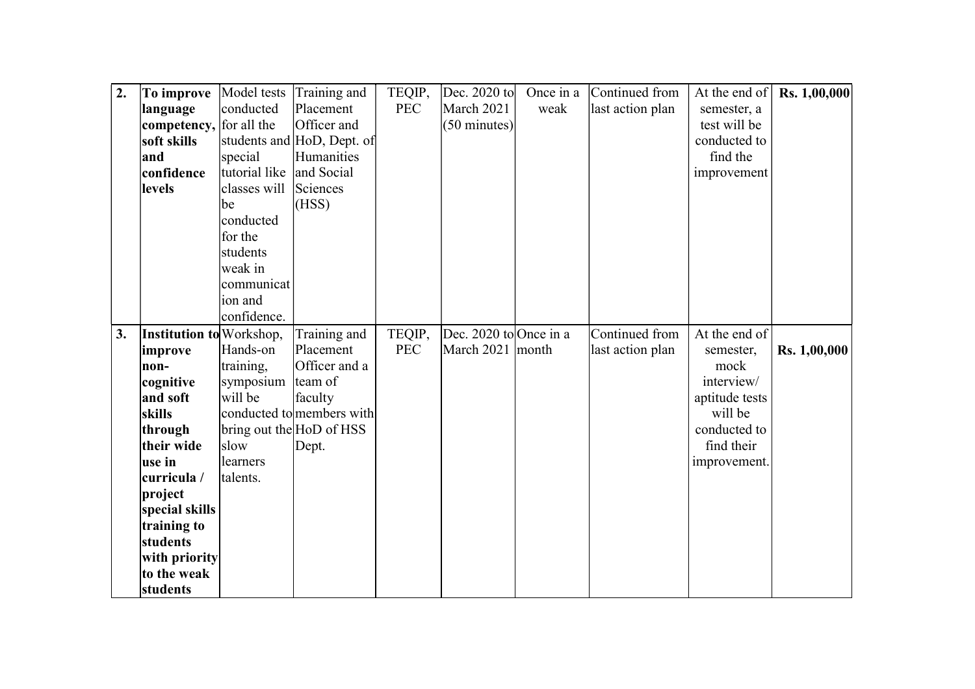| $\overline{2}$ . | To improve                      | Model tests   | Training and               | TEQIP,     | Dec. 2020 to           | Once in a | Continued from   | At the end of  | Rs. 1,00,000 |
|------------------|---------------------------------|---------------|----------------------------|------------|------------------------|-----------|------------------|----------------|--------------|
|                  | language                        | conducted     | Placement                  | <b>PEC</b> | March 2021             | weak      | last action plan | semester, a    |              |
|                  | competency,                     | for all the   | Officer and                |            | $(50 \text{ minutes})$ |           |                  | test will be   |              |
|                  | soft skills                     |               | students and HoD, Dept. of |            |                        |           |                  | conducted to   |              |
|                  | and                             | special       | Humanities                 |            |                        |           |                  | find the       |              |
|                  | confidence                      | tutorial like | and Social                 |            |                        |           |                  | improvement    |              |
|                  | levels                          | classes will  | Sciences                   |            |                        |           |                  |                |              |
|                  |                                 | be            | (HSS)                      |            |                        |           |                  |                |              |
|                  |                                 | conducted     |                            |            |                        |           |                  |                |              |
|                  |                                 | for the       |                            |            |                        |           |                  |                |              |
|                  |                                 | students      |                            |            |                        |           |                  |                |              |
|                  |                                 | weak in       |                            |            |                        |           |                  |                |              |
|                  |                                 | communicat    |                            |            |                        |           |                  |                |              |
|                  |                                 | ion and       |                            |            |                        |           |                  |                |              |
|                  |                                 | confidence.   |                            |            |                        |           |                  |                |              |
| 3.               | <b>Institution to</b> Workshop, |               | Training and               | TEQIP,     | Dec. 2020 to Once in a |           | Continued from   | At the end of  |              |
|                  | improve                         | Hands-on      | Placement                  | <b>PEC</b> | March 2021   month     |           | last action plan | semester,      | Rs. 1,00,000 |
|                  | non-                            | training,     | Officer and a              |            |                        |           |                  | mock           |              |
|                  | cognitive                       | symposium     | team of                    |            |                        |           |                  | interview/     |              |
|                  | and soft                        | will be       | faculty                    |            |                        |           |                  | aptitude tests |              |
|                  | skills                          |               | conducted to members with  |            |                        |           |                  | will be        |              |
|                  | through                         |               | bring out the HoD of HSS   |            |                        |           |                  | conducted to   |              |
|                  | their wide                      | slow          | Dept.                      |            |                        |           |                  | find their     |              |
|                  | use in                          | learners      |                            |            |                        |           |                  | improvement.   |              |
|                  | curricula /                     | talents.      |                            |            |                        |           |                  |                |              |
|                  | project                         |               |                            |            |                        |           |                  |                |              |
|                  | special skills                  |               |                            |            |                        |           |                  |                |              |
|                  | training to                     |               |                            |            |                        |           |                  |                |              |
|                  | students                        |               |                            |            |                        |           |                  |                |              |
|                  | with priority                   |               |                            |            |                        |           |                  |                |              |
|                  | to the weak                     |               |                            |            |                        |           |                  |                |              |
|                  | students                        |               |                            |            |                        |           |                  |                |              |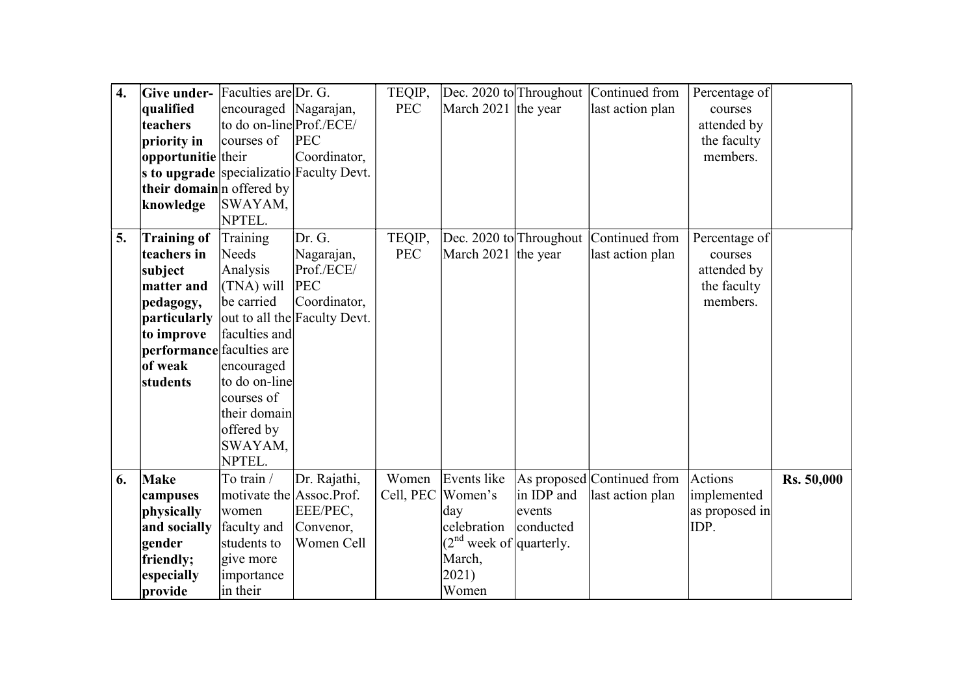| $\overline{4}$ . | Give under- Faculties are $Dr. G.$ |                          |                                          | TEQIP,            | Dec. 2020 to Throughout   |            | Continued from             | Percentage of  |            |
|------------------|------------------------------------|--------------------------|------------------------------------------|-------------------|---------------------------|------------|----------------------------|----------------|------------|
|                  | qualified                          | encouraged Nagarajan,    |                                          | <b>PEC</b>        | March 2021 the year       |            | last action plan           | courses        |            |
|                  | teachers                           | to do on-line Prof./ECE/ |                                          |                   |                           |            |                            | attended by    |            |
|                  | priority in                        | courses of               | <b>PEC</b>                               |                   |                           |            |                            | the faculty    |            |
|                  | opportunitie their                 |                          | Coordinator,                             |                   |                           |            |                            | members.       |            |
|                  |                                    |                          | s to upgrade specializatio Faculty Devt. |                   |                           |            |                            |                |            |
|                  | their domain n offered by          |                          |                                          |                   |                           |            |                            |                |            |
|                  | knowledge                          | SWAYAM,                  |                                          |                   |                           |            |                            |                |            |
|                  |                                    | NPTEL.                   |                                          |                   |                           |            |                            |                |            |
| 5.               | <b>Training of</b>                 | Training                 | Dr. G.                                   | TEQIP,            | Dec. 2020 to Throughout   |            | Continued from             | Percentage of  |            |
|                  | teachers in                        | Needs                    | Nagarajan,                               | <b>PEC</b>        | March 2021 the year       |            | last action plan           | courses        |            |
|                  | subject                            | Analysis                 | Prof./ECE/                               |                   |                           |            |                            | attended by    |            |
|                  | matter and                         | (TNA) will               | <b>PEC</b>                               |                   |                           |            |                            | the faculty    |            |
|                  | pedagogy,                          | be carried               | Coordinator,                             |                   |                           |            |                            | members.       |            |
|                  | particularly                       |                          | out to all the Faculty Devt.             |                   |                           |            |                            |                |            |
|                  | to improve                         | faculties and            |                                          |                   |                           |            |                            |                |            |
|                  | performance faculties are          |                          |                                          |                   |                           |            |                            |                |            |
|                  | of weak                            | encouraged               |                                          |                   |                           |            |                            |                |            |
|                  | students                           | to do on-line            |                                          |                   |                           |            |                            |                |            |
|                  |                                    | courses of               |                                          |                   |                           |            |                            |                |            |
|                  |                                    | their domain             |                                          |                   |                           |            |                            |                |            |
|                  |                                    | offered by               |                                          |                   |                           |            |                            |                |            |
|                  |                                    | SWAYAM,                  |                                          |                   |                           |            |                            |                |            |
|                  |                                    | NPTEL.                   |                                          |                   |                           |            |                            |                |            |
| 6.               | <b>Make</b>                        | To train /               | Dr. Rajathi,                             | Women             | Events like               |            | As proposed Continued from | <b>Actions</b> | Rs. 50,000 |
|                  | campuses                           | motivate the Assoc.Prof. |                                          | Cell, PEC Women's |                           | in IDP and | last action plan           | implemented    |            |
|                  | physically                         | women                    | EEE/PEC,                                 |                   | day                       | events     |                            | as proposed in |            |
|                  | and socially                       | faculty and              | Convenor,                                |                   | celebration               | conducted  |                            | IDP.           |            |
|                  | gender                             | students to              | Women Cell                               |                   | $(2nd$ week of quarterly. |            |                            |                |            |
|                  | friendly;                          | give more                |                                          |                   | March,                    |            |                            |                |            |
|                  | especially                         | importance               |                                          |                   | 2021)                     |            |                            |                |            |
|                  | provide                            | in their                 |                                          |                   | Women                     |            |                            |                |            |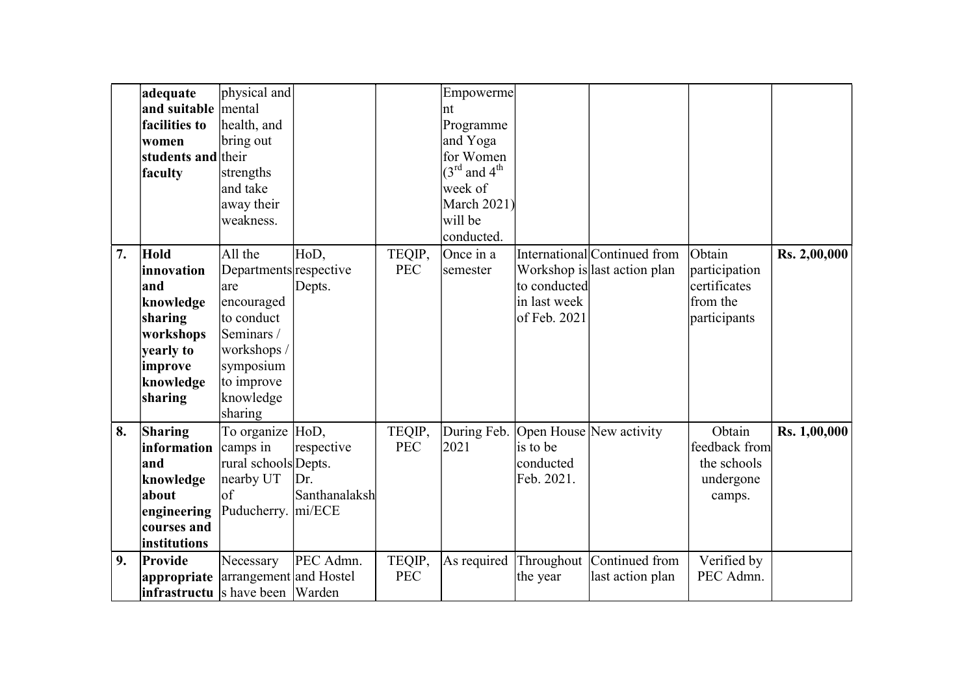|    | adequate                                  | physical and           |               |            | Empowerme                            |              |                              |               |                     |
|----|-------------------------------------------|------------------------|---------------|------------|--------------------------------------|--------------|------------------------------|---------------|---------------------|
|    | and suitable mental                       |                        |               |            | Int                                  |              |                              |               |                     |
|    | facilities to                             | health, and            |               |            | Programme                            |              |                              |               |                     |
|    | women                                     | bring out              |               |            | and Yoga                             |              |                              |               |                     |
|    | students and their                        |                        |               |            | for Women                            |              |                              |               |                     |
|    | faculty                                   | strengths              |               |            | $(3^{\text{rd}}$ and $4^{\text{th}}$ |              |                              |               |                     |
|    |                                           | and take               |               |            | week of                              |              |                              |               |                     |
|    |                                           | away their             |               |            | <b>March 2021)</b>                   |              |                              |               |                     |
|    |                                           | weakness.              |               |            | will be                              |              |                              |               |                     |
|    |                                           |                        |               |            | conducted.                           |              |                              |               |                     |
| 7. | <b>Hold</b>                               | All the                | HoD,          | TEQIP,     | Once in a                            |              | International Continued from | Obtain        | <b>Rs. 2,00,000</b> |
|    | innovation                                | Departments respective |               | <b>PEC</b> | semester                             |              | Workshop is last action plan | participation |                     |
|    | and                                       | are                    | Depts.        |            |                                      | to conducted |                              | certificates  |                     |
|    | knowledge                                 | encouraged             |               |            |                                      | in last week |                              | from the      |                     |
|    | sharing                                   | to conduct             |               |            |                                      | of Feb. 2021 |                              | participants  |                     |
|    | workshops                                 | Seminars /             |               |            |                                      |              |                              |               |                     |
|    | yearly to                                 | workshops /            |               |            |                                      |              |                              |               |                     |
|    | improve                                   | symposium              |               |            |                                      |              |                              |               |                     |
|    | knowledge                                 | to improve             |               |            |                                      |              |                              |               |                     |
|    | sharing                                   | knowledge              |               |            |                                      |              |                              |               |                     |
|    |                                           | sharing                |               |            |                                      |              |                              |               |                     |
| 8. | Sharing                                   | To organize HoD,       |               | TEQIP,     | During Feb.                          |              | Open House New activity      | Obtain        | Rs. 1,00,000        |
|    | information camps in                      |                        | respective    | <b>PEC</b> | 2021                                 | is to be     |                              | feedback from |                     |
|    | and                                       | rural schools Depts.   |               |            |                                      | conducted    |                              | the schools   |                     |
|    | knowledge                                 | nearby UT              | Dr.           |            |                                      | Feb. 2021.   |                              | undergone     |                     |
|    | about                                     | of                     | Santhanalaksh |            |                                      |              |                              | camps.        |                     |
|    | engineering                               | Puducherry. mi/ECE     |               |            |                                      |              |                              |               |                     |
|    | courses and                               |                        |               |            |                                      |              |                              |               |                     |
|    | institutions                              |                        |               |            |                                      |              |                              |               |                     |
| 9. | Provide                                   | Necessary              | PEC Admn.     | TEQIP,     | As required                          |              | Throughout Continued from    | Verified by   |                     |
|    | <b>appropriate</b> arrangement and Hostel |                        |               | <b>PEC</b> |                                      | the year     | last action plan             | PEC Admn.     |                     |
|    | infrastructu s have been Warden           |                        |               |            |                                      |              |                              |               |                     |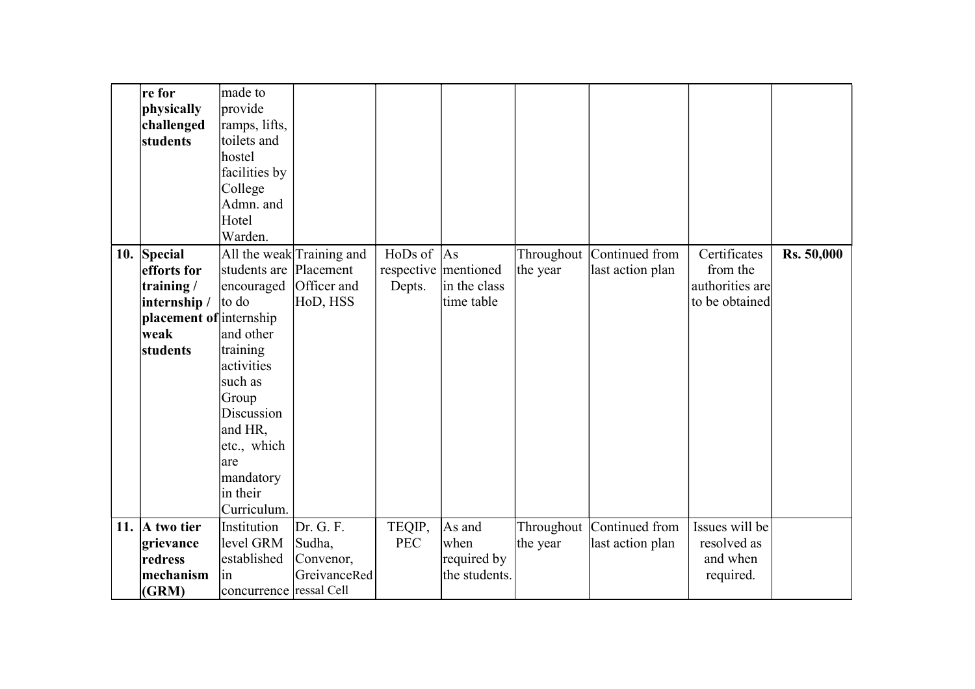|     | re for                  | made to                 |                           |               |                      |            |                           |                 |                   |
|-----|-------------------------|-------------------------|---------------------------|---------------|----------------------|------------|---------------------------|-----------------|-------------------|
|     | physically              | provide                 |                           |               |                      |            |                           |                 |                   |
|     | challenged              | ramps, lifts,           |                           |               |                      |            |                           |                 |                   |
|     | students                | toilets and             |                           |               |                      |            |                           |                 |                   |
|     |                         | hostel                  |                           |               |                      |            |                           |                 |                   |
|     |                         | facilities by           |                           |               |                      |            |                           |                 |                   |
|     |                         | College                 |                           |               |                      |            |                           |                 |                   |
|     |                         | Admn. and               |                           |               |                      |            |                           |                 |                   |
|     |                         | Hotel                   |                           |               |                      |            |                           |                 |                   |
|     |                         | Warden.                 |                           |               |                      |            |                           |                 |                   |
|     | 10. Special             |                         | All the weak Training and | HoDs of $ As$ |                      |            | Throughout Continued from | Certificates    | <b>Rs. 50,000</b> |
|     | efforts for             | students are            | Placement                 |               | respective mentioned | the year   | last action plan          | from the        |                   |
|     | training/               | encouraged              | Officer and               | Depts.        | in the class         |            |                           | authorities are |                   |
|     | internship /            | to do                   | HoD, HSS                  |               | time table           |            |                           | to be obtained  |                   |
|     | placement of internship |                         |                           |               |                      |            |                           |                 |                   |
|     | weak                    | and other               |                           |               |                      |            |                           |                 |                   |
|     | students                | training                |                           |               |                      |            |                           |                 |                   |
|     |                         | activities              |                           |               |                      |            |                           |                 |                   |
|     |                         | such as                 |                           |               |                      |            |                           |                 |                   |
|     |                         | Group                   |                           |               |                      |            |                           |                 |                   |
|     |                         | Discussion              |                           |               |                      |            |                           |                 |                   |
|     |                         | and HR,                 |                           |               |                      |            |                           |                 |                   |
|     |                         | etc., which             |                           |               |                      |            |                           |                 |                   |
|     |                         | are                     |                           |               |                      |            |                           |                 |                   |
|     |                         | mandatory               |                           |               |                      |            |                           |                 |                   |
|     |                         | in their                |                           |               |                      |            |                           |                 |                   |
|     |                         | Curriculum.             |                           |               |                      |            |                           |                 |                   |
| 11. | A two tier              | Institution             | Dr. G. F.                 | TEQIP,        | As and               | Throughout | Continued from            | Issues will be  |                   |
|     | grievance               | level GRM               | Sudha,                    | <b>PEC</b>    | when                 | the year   | last action plan          | resolved as     |                   |
|     | redress                 | established             | Convenor,                 |               | required by          |            |                           | and when        |                   |
|     | mechanism               | 1n                      | GreivanceRed              |               | the students.        |            |                           | required.       |                   |
|     | (GRM)                   | concurrence ressal Cell |                           |               |                      |            |                           |                 |                   |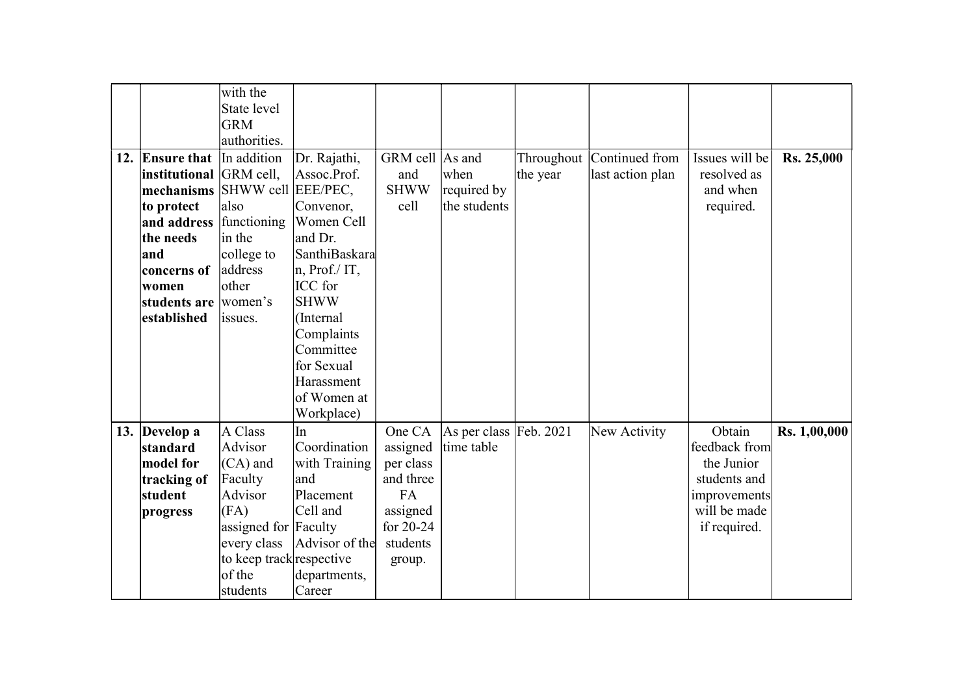|                               | with the                 |                |                 |                        |          |                           |                |                     |
|-------------------------------|--------------------------|----------------|-----------------|------------------------|----------|---------------------------|----------------|---------------------|
|                               | State level              |                |                 |                        |          |                           |                |                     |
|                               | <b>GRM</b>               |                |                 |                        |          |                           |                |                     |
|                               | authorities.             |                |                 |                        |          |                           |                |                     |
| 12. Ensure that In addition   |                          | Dr. Rajathi,   | GRM cell As and |                        |          | Throughout Continued from | Issues will be | <b>Rs. 25,000</b>   |
| institutional GRM cell,       |                          | Assoc.Prof.    | and             | when                   | the year | last action plan          | resolved as    |                     |
| mechanisms SHWW cell EEE/PEC, |                          |                | <b>SHWW</b>     | required by            |          |                           | and when       |                     |
| to protect                    | also                     | Convenor,      | cell            | the students           |          |                           | required.      |                     |
| and address functioning       |                          | Women Cell     |                 |                        |          |                           |                |                     |
| the needs                     | in the                   | and Dr.        |                 |                        |          |                           |                |                     |
| and                           | college to               | SanthiBaskara  |                 |                        |          |                           |                |                     |
| concerns of                   | address                  | n, Prof./IT,   |                 |                        |          |                           |                |                     |
| women                         | other                    | ICC for        |                 |                        |          |                           |                |                     |
| students are women's          |                          | <b>SHWW</b>    |                 |                        |          |                           |                |                     |
| established                   | issues.                  | (Internal      |                 |                        |          |                           |                |                     |
|                               |                          | Complaints     |                 |                        |          |                           |                |                     |
|                               |                          | Committee      |                 |                        |          |                           |                |                     |
|                               |                          | for Sexual     |                 |                        |          |                           |                |                     |
|                               |                          | Harassment     |                 |                        |          |                           |                |                     |
|                               |                          | of Women at    |                 |                        |          |                           |                |                     |
|                               |                          | Workplace)     |                 |                        |          |                           |                |                     |
| 13. Develop a                 | A Class                  | In             | One CA          | As per class Feb. 2021 |          | New Activity              | Obtain         | <b>Rs. 1,00,000</b> |
| standard                      | Advisor                  | Coordination   | assigned        | time table             |          |                           | feedback from  |                     |
| model for                     | $(CA)$ and               | with Training  | per class       |                        |          |                           | the Junior     |                     |
| tracking of                   | Faculty                  | and            | and three       |                        |          |                           | students and   |                     |
| student                       | Advisor                  | Placement      | <b>FA</b>       |                        |          |                           | improvements   |                     |
| progress                      | (FA)                     | Cell and       | assigned        |                        |          |                           | will be made   |                     |
|                               | assigned for Faculty     |                | for $20-24$     |                        |          |                           | if required.   |                     |
|                               | every class              | Advisor of the | students        |                        |          |                           |                |                     |
|                               | to keep track respective |                | group.          |                        |          |                           |                |                     |
|                               | of the                   | departments,   |                 |                        |          |                           |                |                     |
|                               | students                 | Career         |                 |                        |          |                           |                |                     |